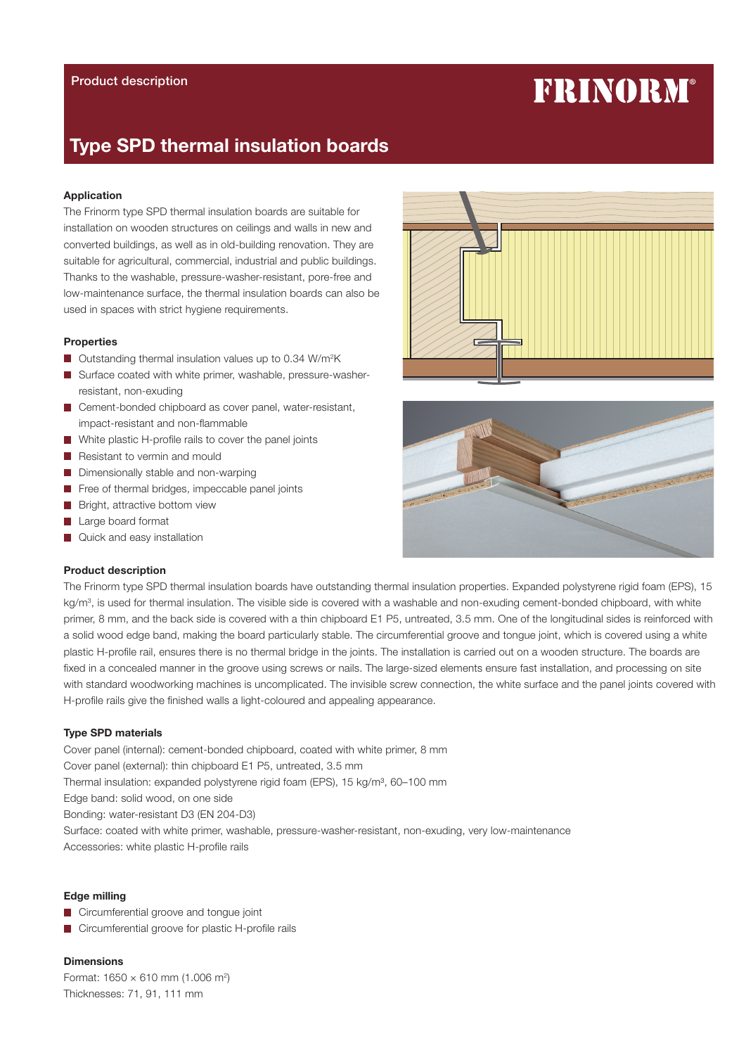# **FRINORM®**

# Type SPD thermal insulation boards

### Application

The Frinorm type SPD thermal insulation boards are suitable for installation on wooden structures on ceilings and walls in new and converted buildings, as well as in old-building renovation. They are suitable for agricultural, commercial, industrial and public buildings. Thanks to the washable, pressure-washer-resistant, pore-free and low-maintenance surface, the thermal insulation boards can also be used in spaces with strict hygiene requirements.

# Properties

- Outstanding thermal insulation values up to 0.34 W/m<sup>2</sup>K
- Surface coated with white primer, washable, pressure-washerresistant, non-exuding
- Cement-bonded chipboard as cover panel, water-resistant, impact-resistant and non-flammable
- White plastic H-profile rails to cover the panel joints
- Resistant to vermin and mould
- Dimensionally stable and non-warping
- Free of thermal bridges, impeccable panel joints
- Bright, attractive bottom view
- Large board format
- Quick and easy installation

# Product description

The Frinorm type SPD thermal insulation boards have outstanding thermal insulation properties. Expanded polystyrene rigid foam (EPS), 15 kg/m<sup>3</sup>, is used for thermal insulation. The visible side is covered with a washable and non-exuding cement-bonded chipboard, with white primer, 8 mm, and the back side is covered with a thin chipboard E1 P5, untreated, 3.5 mm. One of the longitudinal sides is reinforced with a solid wood edge band, making the board particularly stable. The circumferential groove and tongue joint, which is covered using a white plastic H-profile rail, ensures there is no thermal bridge in the joints. The installation is carried out on a wooden structure. The boards are fixed in a concealed manner in the groove using screws or nails. The large-sized elements ensure fast installation, and processing on site with standard woodworking machines is uncomplicated. The invisible screw connection, the white surface and the panel joints covered with H-profile rails give the finished walls a light-coloured and appealing appearance.

#### Type SPD materials

Cover panel (internal): cement-bonded chipboard, coated with white primer, 8 mm Cover panel (external): thin chipboard E1 P5, untreated, 3.5 mm Thermal insulation: expanded polystyrene rigid foam (EPS), 15 kg/m<sup>3</sup>, 60-100 mm Edge band: solid wood, on one side Bonding: water-resistant D3 (EN 204-D3) Surface: coated with white primer, washable, pressure-washer-resistant, non-exuding, very low-maintenance Accessories: white plastic H-profile rails

# Edge milling

- **Circumferential groove and tongue joint**
- Circumferential groove for plastic H-profile rails

**Dimensions** Format:  $1650 \times 610$  mm (1.006 m<sup>2</sup>) Thicknesses: 71, 91, 111 mm